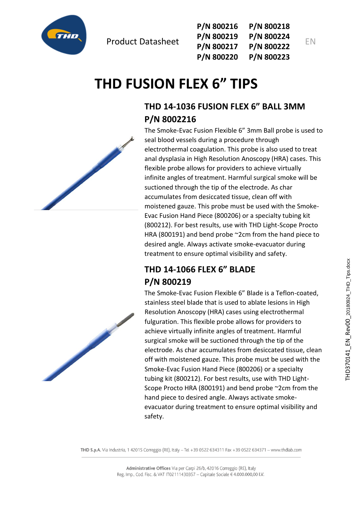

| P/N 800216 | P/N 800218 |
|------------|------------|
| P/N 800219 | P/N 800224 |
| P/N 800217 | P/N 800222 |
| P/N 800220 | P/N 800223 |

EN

# **THD FUSION FLEX 6" TIPS**

# **THD 14-1036 FUSION FLEX 6" BALL 3MM P/N 8002216**

The Smoke-Evac Fusion Flexible 6" 3mm Ball probe is used to seal blood vessels during a procedure through electrothermal coagulation. This probe is also used to treat anal dysplasia in High Resolution Anoscopy (HRA) cases. This flexible probe allows for providers to achieve virtually infinite angles of treatment. Harmful surgical smoke will be suctioned through the tip of the electrode. As char accumulates from desiccated tissue, clean off with moistened gauze. This probe must be used with the Smoke-Evac Fusion Hand Piece (800206) or a specialty tubing kit (800212). For best results, use with THD Light-Scope Procto HRA (800191) and bend probe ~2cm from the hand piece to desired angle. Always activate smoke-evacuator during treatment to ensure optimal visibility and safety.

# **THD 14-1066 FLEX 6" BLADE P/N 800219**

The Smoke-Evac Fusion Flexible 6" Blade is a Teflon-coated, stainless steel blade that is used to ablate lesions in High Resolution Anoscopy (HRA) cases using electrothermal fulguration. This flexible probe allows for providers to achieve virtually infinite angles of treatment. Harmful surgical smoke will be suctioned through the tip of the electrode. As char accumulates from desiccated tissue, clean off with moistened gauze. This probe must be used with the Smoke-Evac Fusion Hand Piece (800206) or a specialty tubing kit (800212). For best results, use with THD Light-Scope Procto HRA (800191) and bend probe ~2cm from the hand piece to desired angle. Always activate smokeevacuator during treatment to ensure optimal visibility and safety.

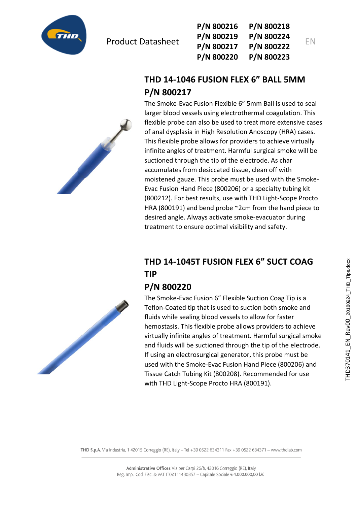

| P/N 800216 | P/N 800218 |   |
|------------|------------|---|
| P/N 800219 | P/N 800224 |   |
| P/N 800217 | P/N 800222 | F |
| P/N 800220 | P/N 800223 |   |

# **THD 14-1046 FUSION FLEX 6" BALL 5MM P/N 800217**

The Smoke-Evac Fusion Flexible 6" 5mm Ball is used to seal larger blood vessels using electrothermal coagulation. This flexible probe can also be used to treat more extensive cases of anal dysplasia in High Resolution Anoscopy (HRA) cases. This flexible probe allows for providers to achieve virtually infinite angles of treatment. Harmful surgical smoke will be suctioned through the tip of the electrode. As char accumulates from desiccated tissue, clean off with moistened gauze. This probe must be used with the Smoke-Evac Fusion Hand Piece (800206) or a specialty tubing kit (800212). For best results, use with THD Light-Scope Procto HRA (800191) and bend probe ~2cm from the hand piece to desired angle. Always activate smoke-evacuator during treatment to ensure optimal visibility and safety.

# **THD 14-1045T FUSION FLEX 6" SUCT COAG TIP**

#### **P/N 800220**

The Smoke-Evac Fusion 6" Flexible Suction Coag Tip is a Teflon-Coated tip that is used to suction both smoke and fluids while sealing blood vessels to allow for faster hemostasis. This flexible probe allows providers to achieve virtually infinite angles of treatment. Harmful surgical smoke and fluids will be suctioned through the tip of the electrode. If using an electrosurgical generator, this probe must be used with the Smoke-Evac Fusion Hand Piece (800206) and Tissue Catch Tubing Kit (800208). Recommended for use with THD Light-Scope Procto HRA (800191).



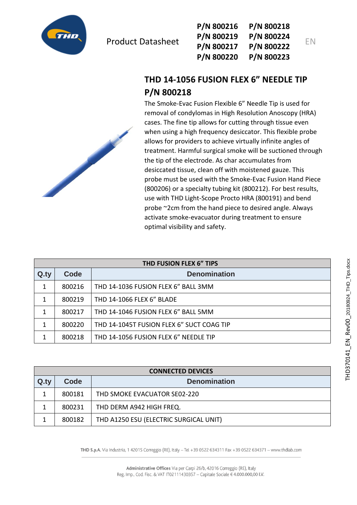

| P/N 800216 | P/N 800218 |    |
|------------|------------|----|
| P/N 800219 | P/N 800224 | EN |
| P/N 800217 | P/N 800222 |    |
| P/N 800220 | P/N 800223 |    |

## **THD 14-1056 FUSION FLEX 6" NEEDLE TIP P/N 800218**

The Smoke-Evac Fusion Flexible 6" Needle Tip is used for removal of condylomas in High Resolution Anoscopy (HRA) cases. The fine tip allows for cutting through tissue even when using a high frequency desiccator. This flexible probe allows for providers to achieve virtually infinite angles of treatment. Harmful surgical smoke will be suctioned through the tip of the electrode. As char accumulates from desiccated tissue, clean off with moistened gauze. This probe must be used with the Smoke-Evac Fusion Hand Piece (800206) or a specialty tubing kit (800212). For best results, use with THD Light-Scope Procto HRA (800191) and bend probe ~2cm from the hand piece to desired angle. Always activate smoke-evacuator during treatment to ensure optimal visibility and safety.

| THD FUSION FLEX 6" TIPS |        |                                           |
|-------------------------|--------|-------------------------------------------|
| Q.ty                    | Code   | <b>Denomination</b>                       |
| 1                       | 800216 | THD 14-1036 FUSION FLEX 6" BALL 3MM       |
| 1                       | 800219 | THD 14-1066 FLEX 6" BLADE                 |
| 1                       | 800217 | THD 14-1046 FUSION FLEX 6" BALL 5MM       |
| 1                       | 800220 | THD 14-1045T FUSION FLEX 6" SUCT COAG TIP |
| 1                       | 800218 | THD 14-1056 FUSION FLEX 6" NEEDLE TIP     |

| <b>CONNECTED DEVICES</b> |        |                                        |
|--------------------------|--------|----------------------------------------|
| Q.ty                     | Code   | <b>Denomination</b>                    |
|                          | 800181 | THD SMOKE EVACUATOR SE02-220           |
|                          | 800231 | THD DERM A942 HIGH FREQ.               |
|                          | 800182 | THD A1250 ESU (ELECTRIC SURGICAL UNIT) |

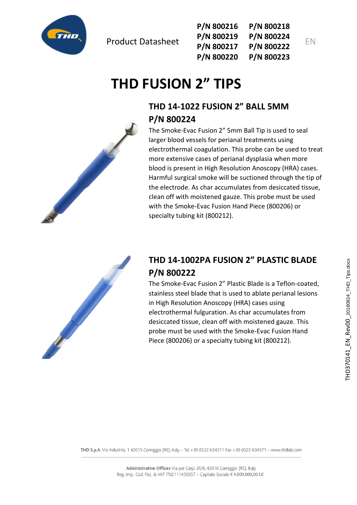

**P/N 800216 P/N 800219 P/N 800217 P/N 800220 P/N 800218 P/N 800224 P/N 800222 P/N 800223**

# **THD FUSION 2" TIPS**

# **THD 14-1022 FUSION 2" BALL 5MM P/N 800224**

The Smoke-Evac Fusion 2" 5mm Ball Tip is used to seal larger blood vessels for perianal treatments using electrothermal coagulation. This probe can be used to treat more extensive cases of perianal dysplasia when more blood is present in High Resolution Anoscopy (HRA) cases. Harmful surgical smoke will be suctioned through the tip of the electrode. As char accumulates from desiccated tissue, clean off with moistened gauze. This probe must be used with the Smoke-Evac Fusion Hand Piece (800206) or specialty tubing kit (800212).



# **THD 14-1002PA FUSION 2" PLASTIC BLADE P/N 800222**

The Smoke-Evac Fusion 2" Plastic Blade is a Teflon-coated, stainless steel blade that is used to ablate perianal lesions in High Resolution Anoscopy (HRA) cases using electrothermal fulguration. As char accumulates from desiccated tissue, clean off with moistened gauze. This probe must be used with the Smoke-Evac Fusion Hand Piece (800206) or a specialty tubing kit (800212).